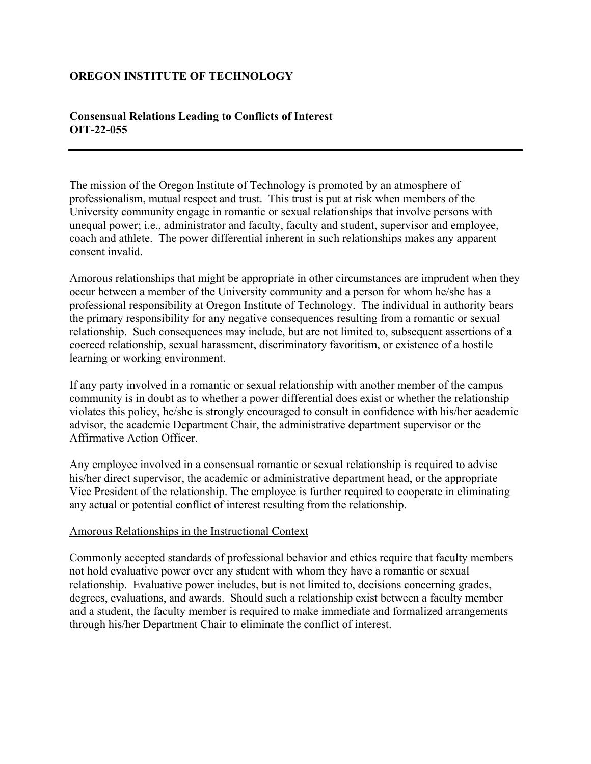# **OREGON INSTITUTE OF TECHNOLOGY**

## **Consensual Relations Leading to Conflicts of Interest OIT-22-055**

The mission of the Oregon Institute of Technology is promoted by an atmosphere of professionalism, mutual respect and trust. This trust is put at risk when members of the University community engage in romantic or sexual relationships that involve persons with unequal power; i.e., administrator and faculty, faculty and student, supervisor and employee, coach and athlete. The power differential inherent in such relationships makes any apparent consent invalid.

Amorous relationships that might be appropriate in other circumstances are imprudent when they occur between a member of the University community and a person for whom he/she has a professional responsibility at Oregon Institute of Technology. The individual in authority bears the primary responsibility for any negative consequences resulting from a romantic or sexual relationship. Such consequences may include, but are not limited to, subsequent assertions of a coerced relationship, sexual harassment, discriminatory favoritism, or existence of a hostile learning or working environment.

If any party involved in a romantic or sexual relationship with another member of the campus community is in doubt as to whether a power differential does exist or whether the relationship violates this policy, he/she is strongly encouraged to consult in confidence with his/her academic advisor, the academic Department Chair, the administrative department supervisor or the Affirmative Action Officer.

Any employee involved in a consensual romantic or sexual relationship is required to advise his/her direct supervisor, the academic or administrative department head, or the appropriate Vice President of the relationship. The employee is further required to cooperate in eliminating any actual or potential conflict of interest resulting from the relationship.

#### Amorous Relationships in the Instructional Context

Commonly accepted standards of professional behavior and ethics require that faculty members not hold evaluative power over any student with whom they have a romantic or sexual relationship. Evaluative power includes, but is not limited to, decisions concerning grades, degrees, evaluations, and awards. Should such a relationship exist between a faculty member and a student, the faculty member is required to make immediate and formalized arrangements through his/her Department Chair to eliminate the conflict of interest.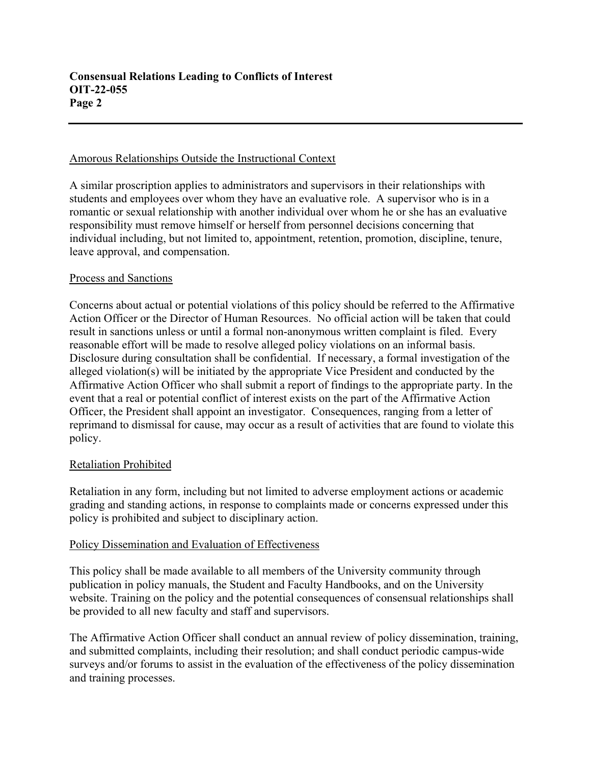### Amorous Relationships Outside the Instructional Context

A similar proscription applies to administrators and supervisors in their relationships with students and employees over whom they have an evaluative role. A supervisor who is in a romantic or sexual relationship with another individual over whom he or she has an evaluative responsibility must remove himself or herself from personnel decisions concerning that individual including, but not limited to, appointment, retention, promotion, discipline, tenure, leave approval, and compensation.

#### Process and Sanctions

Concerns about actual or potential violations of this policy should be referred to the Affirmative Action Officer or the Director of Human Resources. No official action will be taken that could result in sanctions unless or until a formal non-anonymous written complaint is filed. Every reasonable effort will be made to resolve alleged policy violations on an informal basis. Disclosure during consultation shall be confidential. If necessary, a formal investigation of the alleged violation(s) will be initiated by the appropriate Vice President and conducted by the Affirmative Action Officer who shall submit a report of findings to the appropriate party. In the event that a real or potential conflict of interest exists on the part of the Affirmative Action Officer, the President shall appoint an investigator. Consequences, ranging from a letter of reprimand to dismissal for cause, may occur as a result of activities that are found to violate this policy.

#### Retaliation Prohibited

Retaliation in any form, including but not limited to adverse employment actions or academic grading and standing actions, in response to complaints made or concerns expressed under this policy is prohibited and subject to disciplinary action.

#### Policy Dissemination and Evaluation of Effectiveness

This policy shall be made available to all members of the University community through publication in policy manuals, the Student and Faculty Handbooks, and on the University website. Training on the policy and the potential consequences of consensual relationships shall be provided to all new faculty and staff and supervisors.

The Affirmative Action Officer shall conduct an annual review of policy dissemination, training, and submitted complaints, including their resolution; and shall conduct periodic campus-wide surveys and/or forums to assist in the evaluation of the effectiveness of the policy dissemination and training processes.